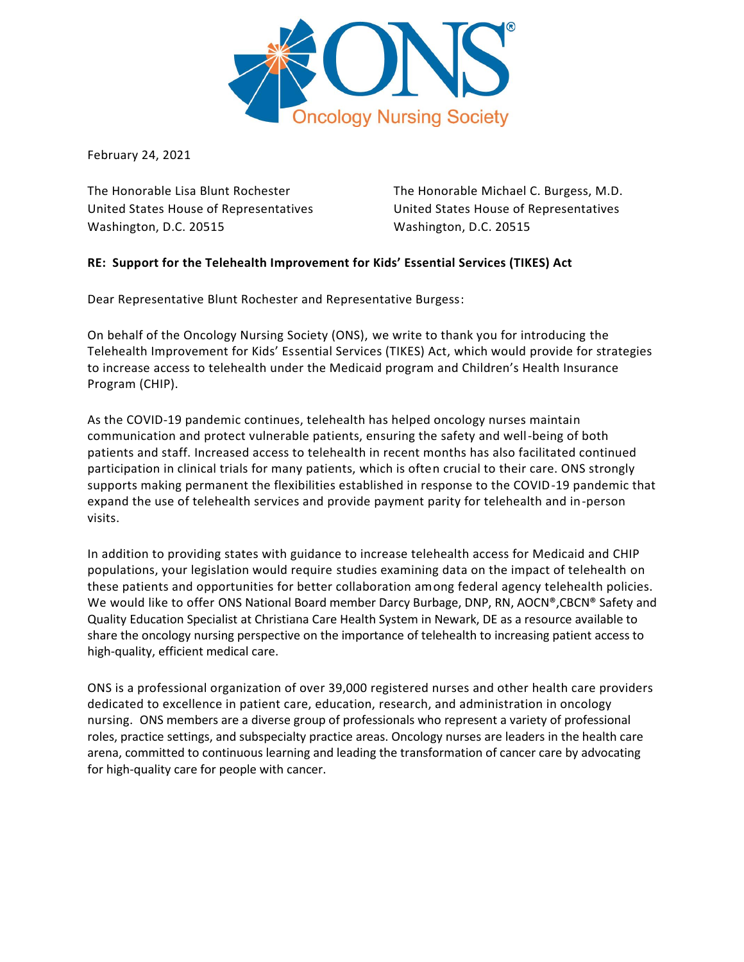

February 24, 2021

United States House of Representatives United States House of Representatives Washington, D.C. 20515 Washington, D.C. 20515

The Honorable Lisa Blunt Rochester The Honorable Michael C. Burgess, M.D.

## **RE: Support for the Telehealth Improvement for Kids' Essential Services (TIKES) Act**

Dear Representative Blunt Rochester and Representative Burgess:

On behalf of the Oncology Nursing Society (ONS), we write to thank you for introducing the Telehealth Improvement for Kids' Essential Services (TIKES) Act, which would provide for strategies to increase access to telehealth under the Medicaid program and Children's Health Insurance Program (CHIP).

As the COVID-19 pandemic continues, telehealth has helped oncology nurses maintain communication and protect vulnerable patients, ensuring the safety and well-being of both patients and staff. Increased access to telehealth in recent months has also facilitated continued participation in clinical trials for many patients, which is often crucial to their care. ONS strongly supports making permanent the flexibilities established in response to the COVID-19 pandemic that expand the use of telehealth services and provide payment parity for telehealth and in-person visits.

In addition to providing states with guidance to increase telehealth access for Medicaid and CHIP populations, your legislation would require studies examining data on the impact of telehealth on these patients and opportunities for better collaboration among federal agency telehealth policies. We would like to offer ONS National Board member Darcy Burbage, DNP, RN, AOCN®, CBCN® Safety and Quality Education Specialist at Christiana Care Health System in Newark, DE as a resource available to share the oncology nursing perspective on the importance of telehealth to increasing patient access to high-quality, efficient medical care.

ONS is a professional organization of over 39,000 registered nurses and other health care providers dedicated to excellence in patient care, education, research, and administration in oncology nursing. ONS members are a diverse group of professionals who represent a variety of professional roles, practice settings, and subspecialty practice areas. Oncology nurses are leaders in the health care arena, committed to continuous learning and leading the transformation of cancer care by advocating for high-quality care for people with cancer.